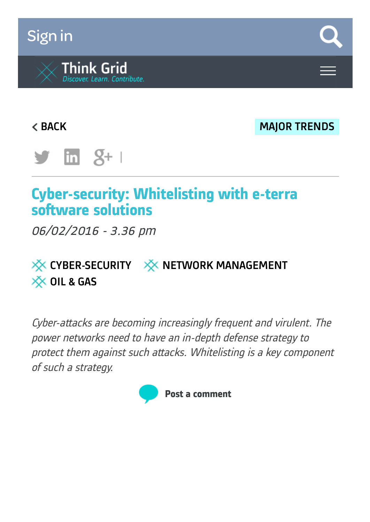# [Sign](https://www.think-grid.org/user/login) in



**EXECUTE: A SERVICE SERVICE SERVICE SERVICE SERVICE SERVICE SERVICE SERVICE SERVICE SERVICE SERVICE SERVICE SERVICE SERVICE SERVICE SERVICE SERVICE SERVICE SERVICE SERVICE SERVICE SERVICE SERVICE SERVICE SERVICE SERVICE SE** 



# **Cyber-security: Whitelisting with e-terra software solutions**

06/02/2016 - 3.36 pm

# $\frac{1}{2}$  [CYBER-SECURITY](https://www.think-grid.org/tags/cyber-security)  $\frac{1}{2}$  NETWORK [MANAGEMENT](https://www.think-grid.org/tags/network-management) **XX OIL & [GAS](https://www.think-grid.org/tags/oil-gas)**

Cyber-attacks are becoming increasingly frequent and virulent. The power networks need to have an in-depth defense strategy to protect them against such attacks. Whitelisting is <sup>a</sup> key component of such <sup>a</sup> strategy.

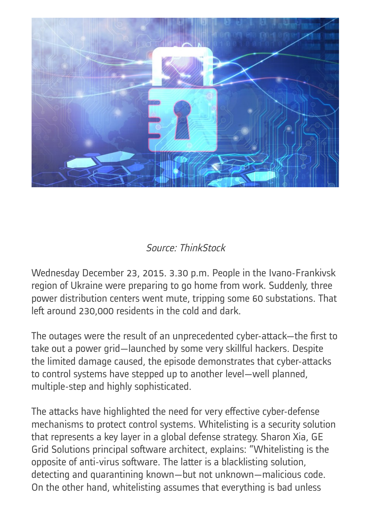

## Source: ThinkStock

Wednesday December 23, 2015. 3.30 p.m. People in the Ivano-Frankivsk region of Ukraine were preparing to go home from work. Suddenly, three power distribution centers went mute, tripping some 60 substations. That left around 230,000 residents in the cold and dark.

The outages were the result of an unprecedented cyber-attack—the first to take out a power grid—launched by some very skillful hackers. Despite the limited damage caused, the episode demonstrates that cyber-attacks to control systems have stepped up to another level—well planned, multiple-step and highly sophisticated.

The attacks have highlighted the need for very effective cyber-defense mechanisms to protect control systems. Whitelisting is a security solution that represents a key layer in a global defense strategy. Sharon Xia, GE Grid Solutions principal software architect, explains: "Whitelisting is the opposite of anti-virus software. The latter is a blacklisting solution, detecting and quarantining known—but not unknown—malicious code. On the other hand, whitelisting assumes that everything is bad unless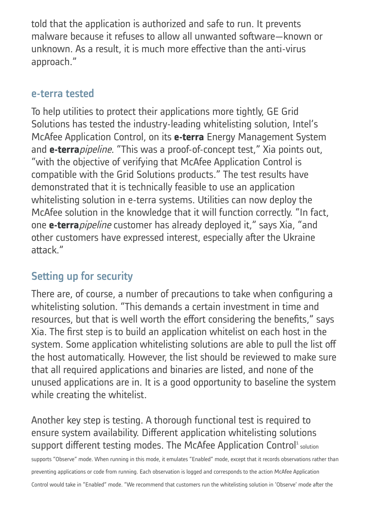told that the application is authorized and safe to run. It prevents malware because it refuses to allow all unwanted software—known or unknown. As a result, it is much more effective than the anti-virus approach."

### e-terra tested

To help utilities to protect their applications more tightly, GE Grid Solutions has tested the industry-leading whitelisting solution, Intel's McAfee Application Control, on its **e-terra** Energy Management System and **e-terra**pipeline. "This was a proof-of-concept test," Xia points out, "with the objective of verifying that McAfee Application Control is compatible with the Grid Solutions products." The test results have demonstrated that it is technically feasible to use an application whitelisting solution in e-terra systems. Utilities can now deploy the McAfee solution in the knowledge that it will function correctly. "In fact, one **e-terra**pipeline customer has already deployed it," says Xia, "and other customers have expressed interest, especially after the Ukraine attack."

## Setting up for security

There are, of course, a number of precautions to take when configuring a whitelisting solution. "This demands a certain investment in time and resources, but that is well worth the effort considering the benefits," says Xia. The first step is to build an application whitelist on each host in the system. Some application whitelisting solutions are able to pull the list off the host automatically. However, the list should be reviewed to make sure that all required applications and binaries are listed, and none of the unused applications are in. It is a good opportunity to baseline the system while creating the whitelist.

Another key step is testing. A thorough functional test is required to ensure system availability. Different application whitelisting solutions support different testing modes. The McAfee Application Control<sup>1</sup> solution

supports "Observe" mode. When running in this mode, it emulates "Enabled" mode, except that it records observations rather than

preventing applications or code from running. Each observation is logged and corresponds to the action McAfee Application

Control would take in "Enabled" mode. "We recommend that customers run the whitelisting solution in 'Observe' mode after the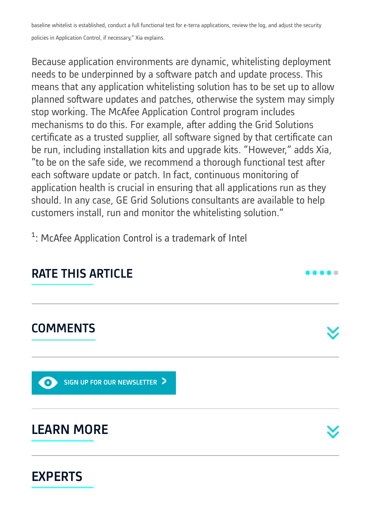baseline whitelist is established, conduct a full functional test for e-terra applications, review the log, and adjust the security

policies in Application Control, if necessary," Xia explains.

Because application environments are dynamic, whitelisting deployment needs to be underpinned by a software patch and update process. This means that any application whitelisting solution has to be set up to allow planned software updates and patches, otherwise the system may simply stop working. The McAfee Application Control program includes mechanisms to do this. For example, after adding the Grid Solutions certificate as a trusted supplier, all software signed by that certificate can be run, including installation kits and upgrade kits. "However," adds Xia, "to be on the safe side, we recommend a thorough functional test after each software update or patch. In fact, continuous monitoring of application health is crucial in ensuring that all applications run as they should. In any case, GE Grid Solutions consultants are available to help customers install, run and monitor the whitelisting solution."

<sup>1</sup>: McAfee Application Control is a trademark of Intel